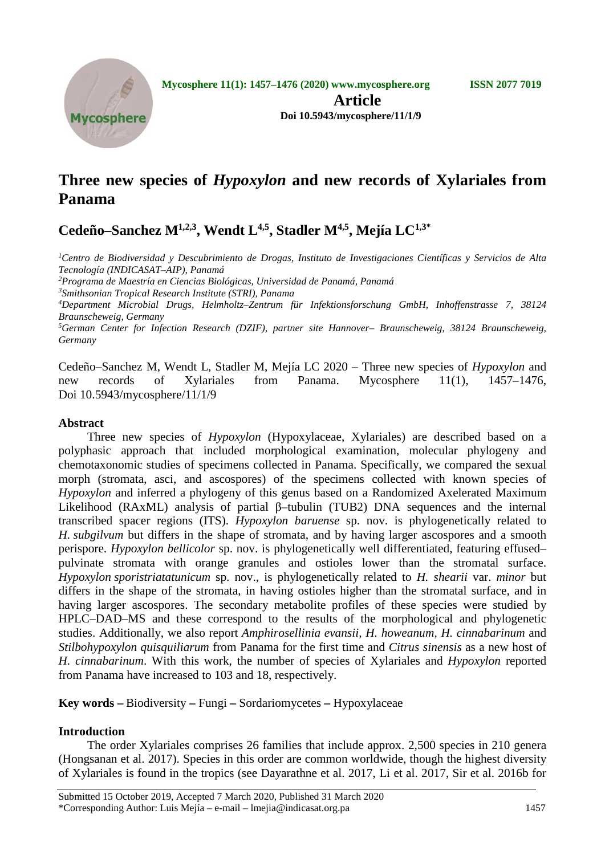

**Article Doi 10.5943/mycosphere/11/1/9**

# **Three new species of** *Hypoxylon* **and new records of Xylariales from Panama**

# **Cedeño–Sanchez M1,2,3, Wendt L4,5, Stadler M4,5, Mejía LC1,3\***

*1 Centro de Biodiversidad y Descubrimiento de Drogas, Instituto de Investigaciones Científicas y Servicios de Alta Tecnología (INDICASAT–AIP), Panamá*

*2 Programa de Maestría en Ciencias Biológicas, Universidad de Panamá, Panamá*

*3 Smithsonian Tropical Research Institute (STRI), Panama*

*4 Department Microbial Drugs, Helmholtz–Zentrum für Infektionsforschung GmbH, Inhoffenstrasse 7, 38124 Braunscheweig, Germany*

*5 German Center for Infection Research (DZIF), partner site Hannover– Braunscheweig, 38124 Braunscheweig, Germany*

Cedeño–Sanchez M, Wendt L, Stadler M, Mejía LC 2020 – Three new species of *Hypoxylon* and new records of Xylariales from Panama. Mycosphere 11(1), 1457–1476, Doi 10.5943/mycosphere/11/1/9

# **Abstract**

Three new species of *Hypoxylon* (Hypoxylaceae, Xylariales) are described based on a polyphasic approach that included morphological examination, molecular phylogeny and chemotaxonomic studies of specimens collected in Panama. Specifically, we compared the sexual morph (stromata, asci, and ascospores) of the specimens collected with known species of *Hypoxylon* and inferred a phylogeny of this genus based on a Randomized Axelerated Maximum Likelihood (RAxML) analysis of partial β–tubulin (TUB2) DNA sequences and the internal transcribed spacer regions (ITS). *Hypoxylon baruense* sp. nov. is phylogenetically related to *H. subgilvum* but differs in the shape of stromata, and by having larger ascospores and a smooth perispore. *Hypoxylon bellicolor* sp. nov. is phylogenetically well differentiated, featuring effused– pulvinate stromata with orange granules and ostioles lower than the stromatal surface. *Hypoxylon sporistriatatunicum* sp. nov.*,* is phylogenetically related to *H. shearii* var. *minor* but differs in the shape of the stromata, in having ostioles higher than the stromatal surface, and in having larger ascospores. The secondary metabolite profiles of these species were studied by HPLC–DAD–MS and these correspond to the results of the morphological and phylogenetic studies. Additionally, we also report *Amphirosellinia evansii, H. howeanum, H. cinnabarinum* and *Stilbohypoxylon quisquiliarum* from Panama for the first time and *Citrus sinensis* as a new host of *H. cinnabarinum*. With this work, the number of species of Xylariales and *Hypoxylon* reported from Panama have increased to 103 and 18, respectively.

**Key words –** Biodiversity **–** Fungi **–** Sordariomycetes **–** Hypoxylaceae

# **Introduction**

The order Xylariales comprises 26 families that include approx. 2,500 species in 210 genera (Hongsanan et al. 2017). Species in this order are common worldwide, though the highest diversity of Xylariales is found in the tropics (see Dayarathne et al. 2017, Li et al. 2017, Sir et al. 2016b for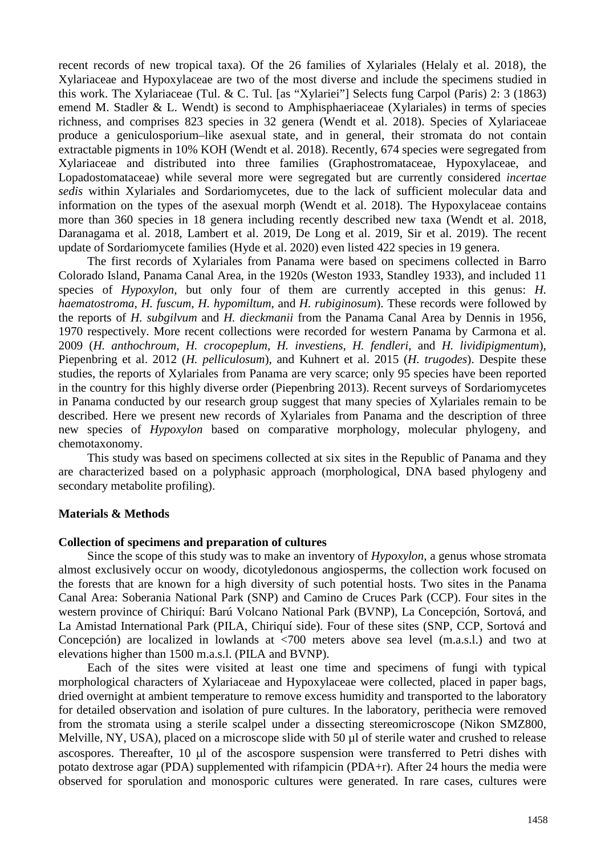recent records of new tropical taxa). Of the 26 families of Xylariales (Helaly et al. 2018), the Xylariaceae and Hypoxylaceae are two of the most diverse and include the specimens studied in this work. The Xylariaceae (Tul. & C. Tul. [as "Xylariei"] Selects fung Carpol (Paris) 2: 3 (1863) emend M. Stadler & L. Wendt) is second to Amphisphaeriaceae (Xylariales) in terms of species richness, and comprises 823 species in 32 genera (Wendt et al. 2018). Species of Xylariaceae produce a geniculosporium–like asexual state, and in general, their stromata do not contain extractable pigments in 10% KOH (Wendt et al. 2018). Recently, 674 species were segregated from Xylariaceae and distributed into three families (Graphostromataceae, Hypoxylaceae, and Lopadostomataceae) while several more were segregated but are currently considered *incertae sedis* within Xylariales and Sordariomycetes, due to the lack of sufficient molecular data and information on the types of the asexual morph (Wendt et al. 2018). The Hypoxylaceae contains more than 360 species in 18 genera including recently described new taxa (Wendt et al. 2018, Daranagama et al. 2018, Lambert et al. 2019, De Long et al. 2019, Sir et al. 2019). The recent update of Sordariomycete families (Hyde et al. 2020) even listed 422 species in 19 genera.

The first records of Xylariales from Panama were based on specimens collected in Barro Colorado Island, Panama Canal Area, in the 1920s (Weston 1933, Standley 1933), and included 11 species of *Hypoxylon*, but only four of them are currently accepted in this genus: *H*. *haematostroma*, *H. fuscum*, *H. hypomiltum*, and *H. rubiginosum*). These records were followed by the reports of *H. subgilvum* and *H. dieckmanii* from the Panama Canal Area by Dennis in 1956, 1970 respectively. More recent collections were recorded for western Panama by Carmona et al. 2009 (*H. anthochroum*, *H. crocopeplum*, *H. investiens*, *H. fendleri*, and *H. lividipigmentum*), Piepenbring et al. 2012 (*H. pelliculosum*), and Kuhnert et al. 2015 (*H. trugodes*). Despite these studies, the reports of Xylariales from Panama are very scarce; only 95 species have been reported in the country for this highly diverse order (Piepenbring 2013). Recent surveys of Sordariomycetes in Panama conducted by our research group suggest that many species of Xylariales remain to be described. Here we present new records of Xylariales from Panama and the description of three new species of *Hypoxylon* based on comparative morphology, molecular phylogeny, and chemotaxonomy.

This study was based on specimens collected at six sites in the Republic of Panama and they are characterized based on a polyphasic approach (morphological, DNA based phylogeny and secondary metabolite profiling).

## **Materials & Methods**

### **Collection of specimens and preparation of cultures**

Since the scope of this study was to make an inventory of *Hypoxylon*, a genus whose stromata almost exclusively occur on woody, dicotyledonous angiosperms, the collection work focused on the forests that are known for a high diversity of such potential hosts. Two sites in the Panama Canal Area: Soberania National Park (SNP) and Camino de Cruces Park (CCP). Four sites in the western province of Chiriquí: Barú Volcano National Park (BVNP), La Concepción, Sortová, and La Amistad International Park (PILA, Chiriquí side). Four of these sites (SNP, CCP, Sortová and Concepción) are localized in lowlands at <700 meters above sea level (m.a.s.l.) and two at elevations higher than 1500 m.a.s.l. (PILA and BVNP).

Each of the sites were visited at least one time and specimens of fungi with typical morphological characters of Xylariaceae and Hypoxylaceae were collected, placed in paper bags, dried overnight at ambient temperature to remove excess humidity and transported to the laboratory for detailed observation and isolation of pure cultures. In the laboratory, perithecia were removed from the stromata using a sterile scalpel under a dissecting stereomicroscope (Nikon SMZ800, Melville, NY, USA), placed on a microscope slide with 50 µl of sterile water and crushed to release ascospores. Thereafter, 10 µl of the ascospore suspension were transferred to Petri dishes with potato dextrose agar (PDA) supplemented with rifampicin (PDA+r). After 24 hours the media were observed for sporulation and monosporic cultures were generated. In rare cases, cultures were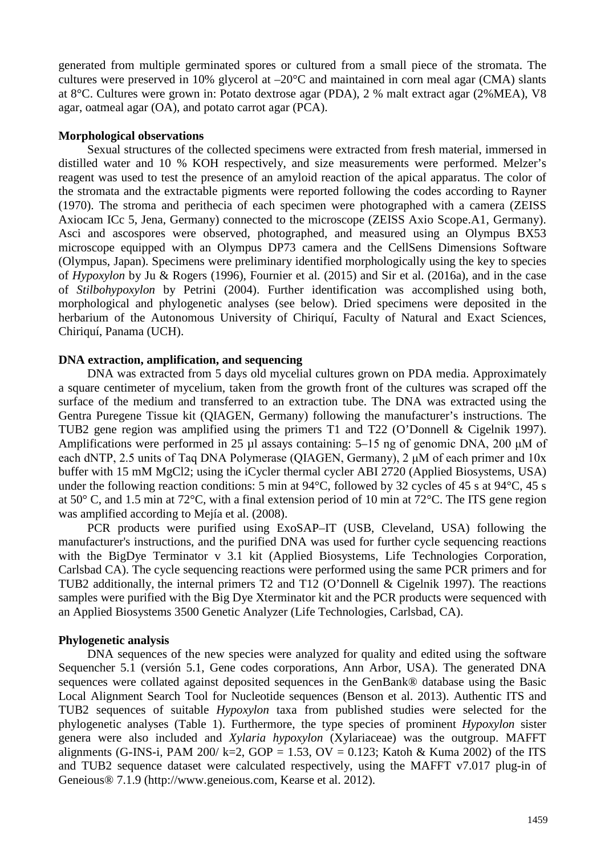generated from multiple germinated spores or cultured from a small piece of the stromata. The cultures were preserved in 10% glycerol at  $-20^{\circ}$ C and maintained in corn meal agar (CMA) slants at 8°C. Cultures were grown in: Potato dextrose agar (PDA), 2 % malt extract agar (2%MEA), V8 agar, oatmeal agar (OA), and potato carrot agar (PCA).

## **Morphological observations**

Sexual structures of the collected specimens were extracted from fresh material, immersed in distilled water and 10 % KOH respectively, and size measurements were performed. Melzer's reagent was used to test the presence of an amyloid reaction of the apical apparatus. The color of the stromata and the extractable pigments were reported following the codes according to Rayner (1970). The stroma and perithecia of each specimen were photographed with a camera (ZEISS Axiocam ICc 5, Jena, Germany) connected to the microscope (ZEISS Axio Scope.A1, Germany). Asci and ascospores were observed, photographed, and measured using an Olympus BX53 microscope equipped with an Olympus DP73 camera and the CellSens Dimensions Software (Olympus, Japan). Specimens were preliminary identified morphologically using the key to species of *Hypoxylon* by Ju & Rogers (1996), Fournier et al*.* (2015) and Sir et al. (2016a), and in the case of *Stilbohypoxylon* by Petrini (2004). Further identification was accomplished using both, morphological and phylogenetic analyses (see below). Dried specimens were deposited in the herbarium of the Autonomous University of Chiriquí, Faculty of Natural and Exact Sciences, Chiriquí, Panama (UCH).

## **DNA extraction, amplification, and sequencing**

DNA was extracted from 5 days old mycelial cultures grown on PDA media. Approximately a square centimeter of mycelium, taken from the growth front of the cultures was scraped off the surface of the medium and transferred to an extraction tube. The DNA was extracted using the Gentra Puregene Tissue kit (QIAGEN, Germany) following the manufacturer's instructions. The TUB2 gene region was amplified using the primers T1 and T22 (O'Donnell & Cigelnik 1997). Amplifications were performed in 25 µl assays containing: 5–15 ng of genomic DNA, 200 μM of each dNTP, 2.5 units of Taq DNA Polymerase (QIAGEN, Germany), 2 μM of each primer and 10x buffer with 15 mM MgCl2; using the iCycler thermal cycler ABI 2720 (Applied Biosystems, USA) under the following reaction conditions: 5 min at 94°C, followed by 32 cycles of 45 s at 94°C, 45 s at 50° C, and 1.5 min at 72°C, with a final extension period of 10 min at 72°C. The ITS gene region was amplified according to Mejía et al. (2008).

PCR products were purified using ExoSAP–IT (USB, Cleveland, USA) following the manufacturer's instructions, and the purified DNA was used for further cycle sequencing reactions with the BigDye Terminator v 3.1 kit (Applied Biosystems, Life Technologies Corporation, Carlsbad CA). The cycle sequencing reactions were performed using the same PCR primers and for TUB2 additionally, the internal primers T2 and T12 (O'Donnell & Cigelnik 1997). The reactions samples were purified with the Big Dye Xterminator kit and the PCR products were sequenced with an Applied Biosystems 3500 Genetic Analyzer (Life Technologies, Carlsbad, CA).

### **Phylogenetic analysis**

DNA sequences of the new species were analyzed for quality and edited using the software Sequencher 5.1 (versión 5.1, Gene codes corporations, Ann Arbor, USA). The generated DNA sequences were collated against deposited sequences in the GenBank® database using the Basic Local Alignment Search Tool for Nucleotide sequences (Benson et al. 2013). Authentic ITS and TUB2 sequences of suitable *Hypoxylon* taxa from published studies were selected for the phylogenetic analyses (Table 1). Furthermore, the type species of prominent *Hypoxylon* sister genera were also included and *Xylaria hypoxylon* (Xylariaceae) was the outgroup. MAFFT alignments (G-INS-i, PAM 200/ k=2, GOP = 1.53, OV = 0.123; Katoh & Kuma 2002) of the ITS and TUB2 sequence dataset were calculated respectively, using the MAFFT v7.017 plug-in of Geneious® 7.1.9 (http://www.geneious.com, Kearse et al. 2012).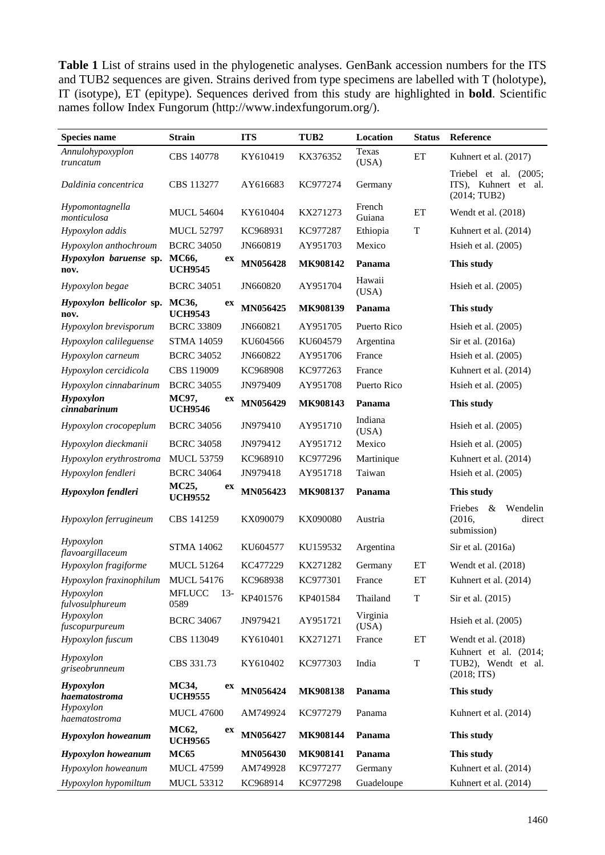Table 1 List of strains used in the phylogenetic analyses. GenBank accession numbers for the ITS and TUB2 sequences are given. Strains derived from type specimens are labelled with T (holotype), IT (isotype), ET (epitype). Sequences derived from this study are highlighted in **bold**. Scientific names follow Index Fungorum (http://www.indexfungorum.org/).

| Species name                     | <b>Strain</b>                  | <b>ITS</b> | TUB <sub>2</sub> | Location          | <b>Status</b>              | <b>Reference</b>                                               |  |
|----------------------------------|--------------------------------|------------|------------------|-------------------|----------------------------|----------------------------------------------------------------|--|
| Annulohypoxyplon<br>truncatum    | CBS 140778                     | KY610419   | KX376352         | Texas<br>(USA)    | ET                         | Kuhnert et al. (2017)                                          |  |
| Daldinia concentrica             | CBS 113277                     | AY616683   | KC977274         | Germany           |                            | Triebel et al. (2005;<br>ITS), Kuhnert et al.<br>(2014; TUB2)  |  |
| Hypomontagnella<br>monticulosa   | <b>MUCL 54604</b>              | KY610404   | KX271273         | French<br>Guiana  | ET                         | Wendt et al. (2018)                                            |  |
| Hypoxylon addis                  | <b>MUCL 52797</b>              | KC968931   | KC977287         | Ethiopia          | T<br>Kuhnert et al. (2014) |                                                                |  |
| Hypoxylon anthochroum            | <b>BCRC 34050</b>              | JN660819   | AY951703         | Mexico            |                            | Hsieh et al. (2005)                                            |  |
| Hypoxylon baruense sp.<br>nov.   | MC66,<br>ex<br><b>UCH9545</b>  | MN056428   | MK908142         | Panama            |                            | This study                                                     |  |
| Hypoxylon begae                  | <b>BCRC 34051</b>              | JN660820   | AY951704         | Hawaii<br>(USA)   |                            | Hsieh et al. (2005)                                            |  |
| Hypoxylon bellicolor sp.<br>nov. | MC36,<br>ex<br><b>UCH9543</b>  | MN056425   | MK908139         | Panama            |                            | This study                                                     |  |
| Hypoxylon brevisporum            | <b>BCRC 33809</b>              | JN660821   | AY951705         | Puerto Rico       |                            | Hsieh et al. (2005)                                            |  |
| Hypoxylon calileguense           | <b>STMA 14059</b>              | KU604566   | KU604579         | Argentina         |                            | Sir et al. (2016a)                                             |  |
| Hypoxylon carneum                | <b>BCRC 34052</b>              | JN660822   | AY951706         | France            |                            | Hsieh et al. (2005)                                            |  |
| Hypoxylon cercidicola            | CBS 119009                     | KC968908   | KC977263         | France            |                            | Kuhnert et al. (2014)                                          |  |
| Hypoxylon cinnabarinum           | <b>BCRC 34055</b>              | JN979409   | AY951708         | Puerto Rico       |                            | Hsieh et al. (2005)                                            |  |
| Hypoxylon<br>cinnabarinum        | MC97,<br>ex<br><b>UCH9546</b>  | MN056429   | MK908143         | Panama            |                            | This study                                                     |  |
| Hypoxylon crocopeplum            | <b>BCRC 34056</b>              | JN979410   | AY951710         | Indiana<br>(USA)  |                            | Hsieh et al. (2005)                                            |  |
| Hypoxylon dieckmanii             | <b>BCRC 34058</b>              | JN979412   | AY951712         | Mexico            |                            | Hsieh et al. $(2005)$                                          |  |
| Hypoxylon erythrostroma          | <b>MUCL 53759</b>              | KC968910   | KC977296         | Martinique        |                            | Kuhnert et al. (2014)                                          |  |
| Hypoxylon fendleri               | <b>BCRC 34064</b>              | JN979418   | AY951718         | Taiwan            |                            | Hsieh et al. (2005)                                            |  |
| Hypoxylon fendleri               | MC25,<br>ex<br><b>UCH9552</b>  | MN056423   | MK908137         | Panama            |                            | This study                                                     |  |
| Hypoxylon ferrugineum            | CBS 141259                     | KX090079   | KX090080         | Austria           |                            | Friebes<br>$\&$<br>Wendelin<br>(2016,<br>direct<br>submission) |  |
| Hypoxylon<br>flavoargillaceum    | <b>STMA 14062</b>              | KU604577   | KU159532         | Argentina         |                            | Sir et al. (2016a)                                             |  |
| Hypoxylon fragiforme             | <b>MUCL 51264</b>              | KC477229   | KX271282         | Germany           | ET                         | Wendt et al. (2018)                                            |  |
| Hypoxylon fraxinophilum          | <b>MUCL 54176</b>              | KC968938   | KC977301         | France            | ET                         | Kuhnert et al. (2014)                                          |  |
| Hypoxylon<br>fulvosulphureum     | <b>MFLUCC</b><br>$13-$<br>0589 | KP401576   | KP401584         | Thailand          | T                          | Sir et al. (2015)                                              |  |
| Hypoxylon<br>fuscopurpureum      | <b>BCRC 34067</b>              | JN979421   | AY951721         | Virginia<br>(USA) |                            | Hsieh et al. (2005)                                            |  |
| Hypoxylon fuscum                 | CBS 113049                     | KY610401   | KX271271         | France            | ET                         | Wendt et al. (2018)<br>Kuhnert et al. (2014;                   |  |
| Hypoxylon<br>griseobrunneum      | CBS 331.73                     | KY610402   | KC977303         | India             | $\mathbf T$                | TUB2), Wendt et al.<br>(2018; HTS)                             |  |
| Hypoxylon<br>haematostroma       | MC34,<br>ex<br><b>UCH9555</b>  | MN056424   | MK908138         | Panama            |                            | This study                                                     |  |
| Hypoxylon<br>haematostroma       | <b>MUCL 47600</b>              | AM749924   | KC977279         | Panama            |                            | Kuhnert et al. (2014)                                          |  |
| <b>Hypoxylon</b> howeanum        | MC62,<br>ex<br><b>UCH9565</b>  | MN056427   | MK908144         | Panama            |                            | This study                                                     |  |
| <b>Hypoxylon</b> howeanum        | <b>MC65</b>                    | MN056430   | MK908141         | Panama            |                            | This study                                                     |  |
| Hypoxylon howeanum               | <b>MUCL 47599</b>              | AM749928   | KC977277         | Germany           |                            | Kuhnert et al. (2014)                                          |  |
| Hypoxylon hypomiltum             | <b>MUCL 53312</b>              | KC968914   | KC977298         | Guadeloupe        |                            | Kuhnert et al. (2014)                                          |  |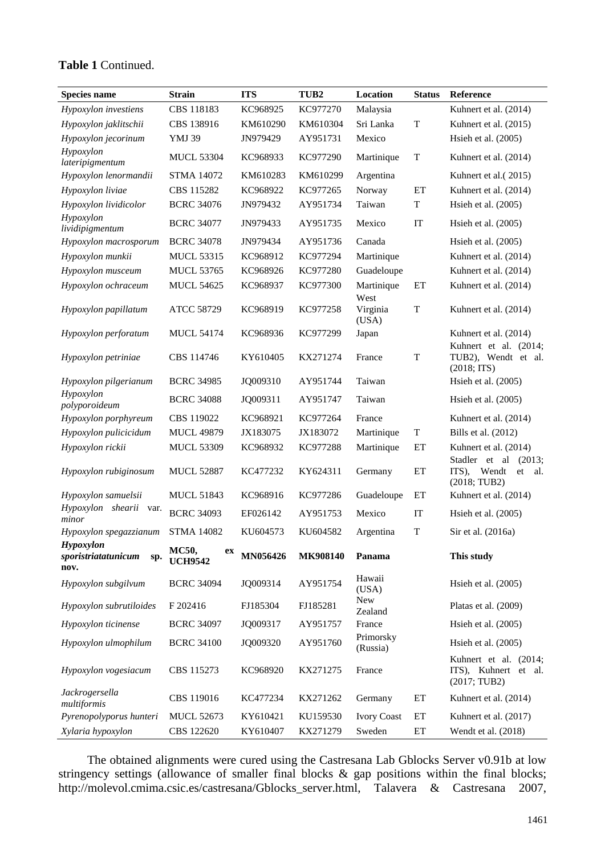# **Table 1** Continued.

| <b>Species name</b>                             | <b>Strain</b>                        | <b>ITS</b> | TUB <sub>2</sub> | Location              | <b>Status</b> | Reference                                                     |  |
|-------------------------------------------------|--------------------------------------|------------|------------------|-----------------------|---------------|---------------------------------------------------------------|--|
| Hypoxylon investiens                            | CBS 118183                           | KC968925   | KC977270         | Malaysia              |               | Kuhnert et al. (2014)                                         |  |
| Hypoxylon jaklitschii                           | CBS 138916                           | KM610290   | KM610304         | Sri Lanka             | $\mathbf T$   | Kuhnert et al. (2015)                                         |  |
| Hypoxylon jecorinum                             | <b>YMJ 39</b>                        | JN979429   | AY951731         | Mexico                |               | Hsieh et al. (2005)                                           |  |
| Hypoxylon<br>lateripigmentum                    | <b>MUCL 53304</b>                    | KC968933   | KC977290         | Martinique            | $\mathbf T$   | Kuhnert et al. (2014)                                         |  |
| Hypoxylon lenormandii                           | <b>STMA 14072</b>                    | KM610283   | KM610299         | Argentina             |               | Kuhnert et al. (2015)                                         |  |
| Hypoxylon liviae                                | CBS 115282                           | KC968922   | KC977265         | Norway                | ET            | Kuhnert et al. (2014)                                         |  |
| Hypoxylon lividicolor                           | <b>BCRC 34076</b>                    | JN979432   | AY951734         | Taiwan                | T             | Hsieh et al. (2005)                                           |  |
| Hypoxylon<br>lividipigmentum                    | <b>BCRC 34077</b>                    | JN979433   | AY951735         | Mexico                | IT            | Hsieh et al. $(2005)$                                         |  |
| Hypoxylon macrosporum                           | <b>BCRC 34078</b>                    | JN979434   | AY951736         | Canada                |               | Hsieh et al. $(2005)$                                         |  |
| Hypoxylon munkii                                | <b>MUCL 53315</b>                    | KC968912   | KC977294         | Martinique            |               | Kuhnert et al. (2014)                                         |  |
| Hypoxylon musceum                               | <b>MUCL 53765</b>                    | KC968926   | KC977280         | Guadeloupe            |               | Kuhnert et al. (2014)                                         |  |
| Hypoxylon ochraceum                             | <b>MUCL 54625</b>                    | KC968937   | KC977300         | Martinique<br>West    | ET            | Kuhnert et al. (2014)                                         |  |
| Hypoxylon papillatum                            | ATCC 58729                           | KC968919   | KC977258         | Virginia<br>(USA)     | T             | Kuhnert et al. (2014)                                         |  |
| Hypoxylon perforatum                            | <b>MUCL 54174</b>                    | KC968936   | KC977299         | Japan                 |               | Kuhnert et al. (2014)                                         |  |
| Hypoxylon petriniae                             | CBS 114746                           | KY610405   | KX271274         | France                | T             | Kuhnert et al. (2014;<br>TUB2), Wendt et al.<br>(2018; HTS)   |  |
| Hypoxylon pilgerianum                           | <b>BCRC 34985</b>                    | JQ009310   | AY951744         | Taiwan                |               | Hsieh et al. (2005)                                           |  |
| Hypoxylon<br>polyporoideum                      | <b>BCRC 34088</b>                    | JQ009311   | AY951747         | Taiwan                |               | Hsieh et al. (2005)                                           |  |
| Hypoxylon porphyreum                            | CBS 119022                           | KC968921   | KC977264         | France                |               | Kuhnert et al. (2014)                                         |  |
| Hypoxylon pulicicidum                           | <b>MUCL 49879</b>                    | JX183075   | JX183072         | Martinique            | T             | Bills et al. (2012)                                           |  |
| Hypoxylon rickii                                | <b>MUCL 53309</b>                    | KC968932   | KC977288         | Martinique            | ET            | Kuhnert et al. (2014)<br>Stadler et al (2013;                 |  |
| Hypoxylon rubiginosum                           | <b>MUCL 52887</b>                    | KC477232   | KY624311         | Germany               | ET            | Wendt<br>ITS),<br>et<br>al.<br>(2018; TUB2)                   |  |
| Hypoxylon samuelsii                             | <b>MUCL 51843</b>                    | KC968916   | KC977286         | Guadeloupe            | ET            | Kuhnert et al. (2014)                                         |  |
| Hypoxylon shearii var.<br>minor                 | <b>BCRC 34093</b>                    | EF026142   | AY951753         | Mexico                | IT            | Hsieh et al. (2005)                                           |  |
| Hypoxylon spegazzianum                          | <b>STMA 14082</b>                    | KU604573   | KU604582         | Argentina             | T             | Sir et al. (2016a)                                            |  |
| Hypoxylon<br>sporistriatatunicum<br>sp.<br>nov. | <b>MC50,</b><br>ex<br><b>UCH9542</b> | MN056426   | MK908140         | Panama                |               | This study                                                    |  |
| Hypoxylon subgilvum                             | <b>BCRC 34094</b>                    | JQ009314   | AY951754         | Hawaii<br>(USA)       |               | Hsieh et al. (2005)                                           |  |
| Hypoxylon subrutiloides                         | F 202416                             | FJ185304   | FJ185281         | New<br>Zealand        |               | Platas et al. (2009)                                          |  |
| Hypoxylon ticinense                             | <b>BCRC 34097</b>                    | JQ009317   | AY951757         | France                |               | Hsieh et al. (2005)                                           |  |
| Hypoxylon ulmophilum                            | <b>BCRC 34100</b>                    | JQ009320   | AY951760         | Primorsky<br>(Russia) |               | Hsieh et al. (2005)                                           |  |
| Hypoxylon vogesiacum                            | CBS 115273                           | KC968920   | KX271275         | France                |               | Kuhnert et al. (2014;<br>ITS), Kuhnert et al.<br>(2017; TUB2) |  |
| Jackrogersella<br>multiformis                   | CBS 119016                           | KC477234   | KX271262         | Germany               | ET            | Kuhnert et al. (2014)                                         |  |
| Pyrenopolyporus hunteri                         | <b>MUCL 52673</b>                    | KY610421   | KU159530         | <b>Ivory Coast</b>    | ET            | Kuhnert et al. (2017)                                         |  |
| Xylaria hypoxylon                               | CBS 122620                           | KY610407   | KX271279         | Sweden                | ET            | Wendt et al. (2018)                                           |  |

The obtained alignments were cured using the Castresana Lab Gblocks Server v0.91b at low stringency settings (allowance of smaller final blocks & gap positions within the final blocks; http://molevol.cmima.csic.es/castresana/Gblocks\_server.html, Talavera & Castresana 2007,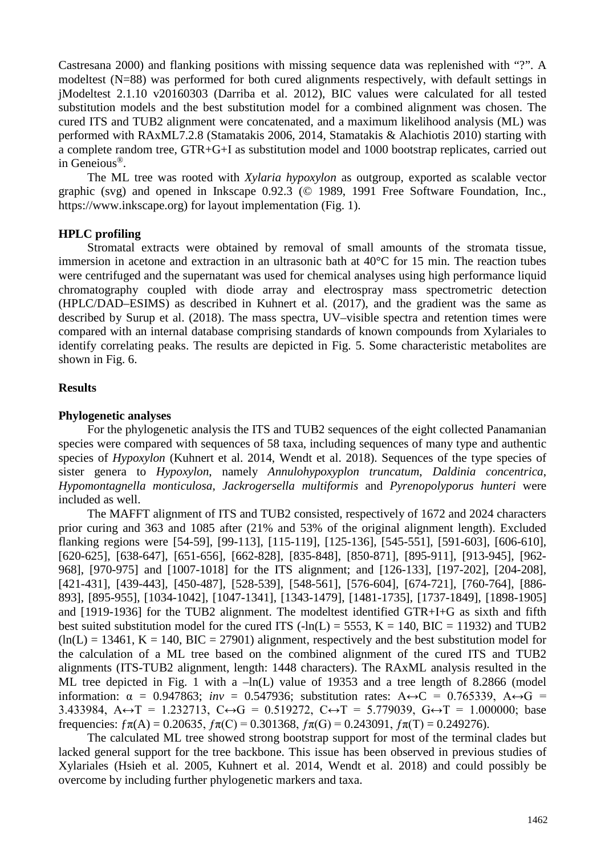Castresana 2000) and flanking positions with missing sequence data was replenished with "?". A modeltest (N=88) was performed for both cured alignments respectively, with default settings in jModeltest 2.1.10 v20160303 (Darriba et al. 2012), BIC values were calculated for all tested substitution models and the best substitution model for a combined alignment was chosen. The cured ITS and TUB2 alignment were concatenated, and a maximum likelihood analysis (ML) was performed with RAxML7.2.8 (Stamatakis 2006, 2014, Stamatakis & Alachiotis 2010) starting with a complete random tree, GTR+G+I as substitution model and 1000 bootstrap replicates, carried out in Geneious®.

The ML tree was rooted with *Xylaria hypoxylon* as outgroup, exported as scalable vector graphic (svg) and opened in Inkscape 0.92.3 (© 1989, 1991 Free Software Foundation, Inc., https://www.inkscape.org) for layout implementation (Fig. 1).

# **HPLC profiling**

Stromatal extracts were obtained by removal of small amounts of the stromata tissue, immersion in acetone and extraction in an ultrasonic bath at 40°C for 15 min. The reaction tubes were centrifuged and the supernatant was used for chemical analyses using high performance liquid chromatography coupled with diode array and electrospray mass spectrometric detection (HPLC/DAD–ESIMS) as described in Kuhnert et al. (2017), and the gradient was the same as described by Surup et al. (2018). The mass spectra, UV–visible spectra and retention times were compared with an internal database comprising standards of known compounds from Xylariales to identify correlating peaks. The results are depicted in Fig. 5. Some characteristic metabolites are shown in Fig. 6.

## **Results**

# **Phylogenetic analyses**

For the phylogenetic analysis the ITS and TUB2 sequences of the eight collected Panamanian species were compared with sequences of 58 taxa, including sequences of many type and authentic species of *Hypoxylon* (Kuhnert et al. 2014, Wendt et al. 2018). Sequences of the type species of sister genera to *Hypoxylon*, namely *Annulohypoxyplon truncatum*, *Daldinia concentrica*, *Hypomontagnella monticulosa*, *Jackrogersella multiformis* and *Pyrenopolyporus hunteri* were included as well.

The MAFFT alignment of ITS and TUB2 consisted, respectively of 1672 and 2024 characters prior curing and 363 and 1085 after (21% and 53% of the original alignment length). Excluded flanking regions were [54-59], [99-113], [115-119], [125-136], [545-551], [591-603], [606-610], [620-625], [638-647], [651-656], [662-828], [835-848], [850-871], [895-911], [913-945], [962- 968], [970-975] and [1007-1018] for the ITS alignment; and [126-133], [197-202], [204-208], [421-431], [439-443], [450-487], [528-539], [548-561], [576-604], [674-721], [760-764], [886- 893], [895-955], [1034-1042], [1047-1341], [1343-1479], [1481-1735], [1737-1849], [1898-1905] and [1919-1936] for the TUB2 alignment. The modeltest identified GTR+I+G as sixth and fifth best suited substitution model for the cured ITS  $(-ln(L) = 5553, K = 140, BIC = 11932)$  and TUB2  $(ln(L) = 13461, K = 140, BIC = 27901)$  alignment, respectively and the best substitution model for the calculation of a ML tree based on the combined alignment of the cured ITS and TUB2 alignments (ITS-TUB2 alignment, length: 1448 characters). The RAxML analysis resulted in the ML tree depicted in Fig. 1 with a  $-\ln(L)$  value of 19353 and a tree length of 8.2866 (model information:  $\alpha = 0.947863$ ;  $inv = 0.547936$ ; substitution rates:  $A \leftrightarrow C = 0.765339$ ,  $A \leftrightarrow G =$ 3.433984, A↔T = 1.232713, C↔G = 0.519272, C↔T = 5.779039, G↔T = 1.000000; base frequencies:  $f\pi(A) = 0.20635$ ,  $f\pi(C) = 0.301368$ ,  $f\pi(G) = 0.243091$ ,  $f\pi(T) = 0.249276$ ).

The calculated ML tree showed strong bootstrap support for most of the terminal clades but lacked general support for the tree backbone. This issue has been observed in previous studies of Xylariales (Hsieh et al. 2005, Kuhnert et al. 2014, Wendt et al. 2018) and could possibly be overcome by including further phylogenetic markers and taxa.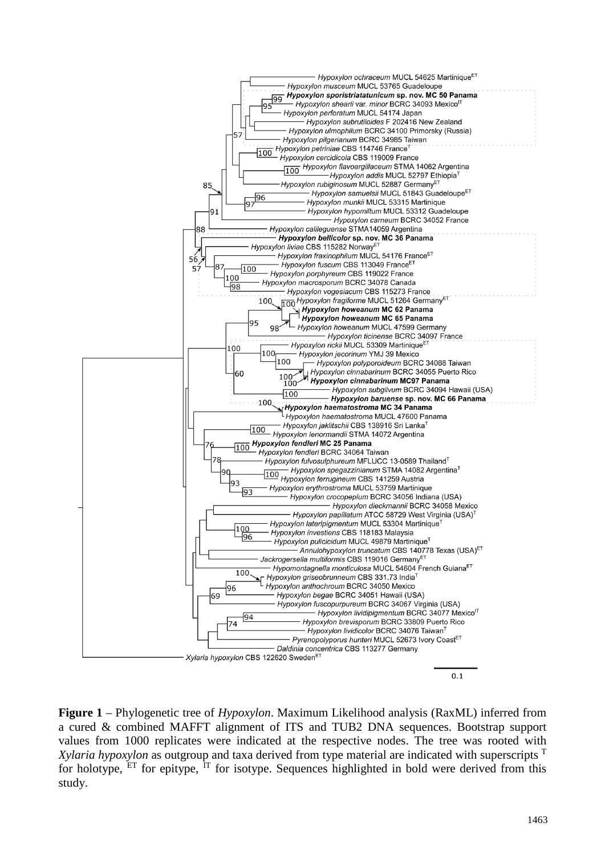

**Figure 1** – Phylogenetic tree of *Hypoxylon*. Maximum Likelihood analysis (RaxML) inferred from a cured & combined MAFFT alignment of ITS and TUB2 DNA sequences. Bootstrap support values from 1000 replicates were indicated at the respective nodes. The tree was rooted with *Xylaria hypoxylon* as outgroup and taxa derived from type material are indicated with superscripts <sup>T</sup> for holotype,  $E_T$  for epitype,  $Tr$  for isotype. Sequences highlighted in bold were derived from this study.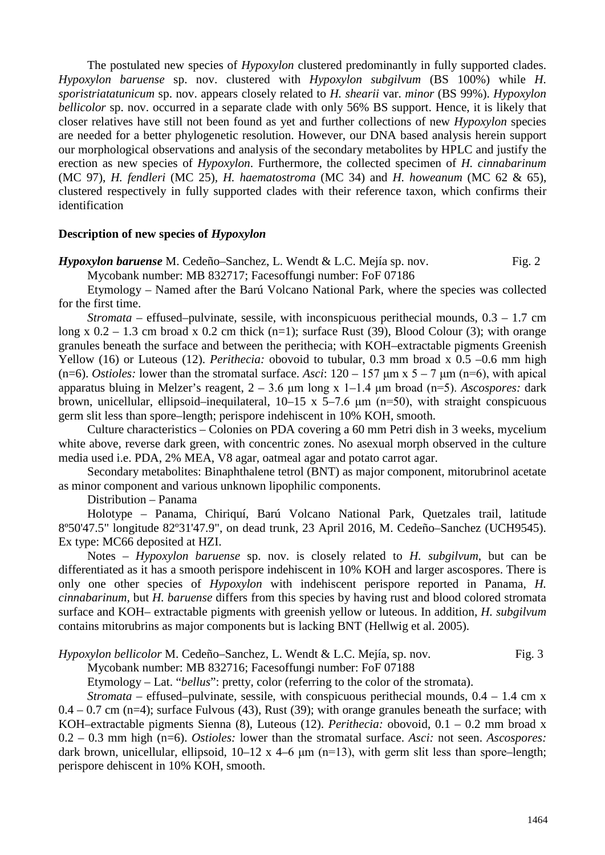The postulated new species of *Hypoxylon* clustered predominantly in fully supported clades. *Hypoxylon baruense* sp. nov. clustered with *Hypoxylon subgilvum* (BS 100%) while *H. sporistriatatunicum* sp. nov. appears closely related to *H. shearii* var. *minor* (BS 99%). *Hypoxylon bellicolor* sp. nov. occurred in a separate clade with only 56% BS support. Hence, it is likely that closer relatives have still not been found as yet and further collections of new *Hypoxylon* species are needed for a better phylogenetic resolution. However, our DNA based analysis herein support our morphological observations and analysis of the secondary metabolites by HPLC and justify the erection as new species of *Hypoxylon*. Furthermore, the collected specimen of *H. cinnabarinum*  (MC 97), *H. fendleri* (MC 25)*, H. haematostroma* (MC 34) and *H. howeanum* (MC 62 & 65), clustered respectively in fully supported clades with their reference taxon, which confirms their identification

# **Description of new species of** *Hypoxylon*

*Hypoxylon baruense* M. Cedeño–Sanchez, L. Wendt & L.C. Mejía sp. nov. Fig. 2

Mycobank number: MB 832717; Facesoffungi number: FoF 07186

Etymology – Named after the Barú Volcano National Park, where the species was collected for the first time.

*Stromata* – effused–pulvinate, sessile, with inconspicuous perithecial mounds, 0.3 – 1.7 cm long x  $0.2 - 1.3$  cm broad x  $0.2$  cm thick (n=1); surface Rust (39), Blood Colour (3); with orange granules beneath the surface and between the perithecia; with KOH–extractable pigments Greenish Yellow (16) or Luteous (12). *Perithecia:* obovoid to tubular, 0.3 mm broad x 0.5 –0.6 mm high (n=6). *Ostioles:* lower than the stromatal surface. *Asci*:  $120 - 157 \text{ µm} \times 5 - 7 \text{ µm} \text{ (n=6)}$ , with apical apparatus bluing in Melzer's reagent, 2 – 3.6 μm long x 1–1.4 μm broad (n=5). *Ascospores:* dark brown, unicellular, ellipsoid–inequilateral,  $10-15 \times 5-7.6 \mu m$  (n=50), with straight conspicuous germ slit less than spore–length; perispore indehiscent in 10% KOH, smooth.

Culture characteristics – Colonies on PDA covering a 60 mm Petri dish in 3 weeks, mycelium white above, reverse dark green, with concentric zones. No asexual morph observed in the culture media used i.e. PDA, 2% MEA, V8 agar, oatmeal agar and potato carrot agar.

Secondary metabolites: Binaphthalene tetrol (BNT) as major component, mitorubrinol acetate as minor component and various unknown lipophilic components.

Distribution – Panama

Holotype – Panama, Chiriquí, Barú Volcano National Park, Quetzales trail, latitude 8º50'47.5" longitude 82º31'47.9", on dead trunk, 23 April 2016, M. Cedeño–Sanchez (UCH9545). Ex type: MC66 deposited at HZI.

Notes – *Hypoxylon baruense* sp. nov. is closely related to *H. subgilvum*, but can be differentiated as it has a smooth perispore indehiscent in 10% KOH and larger ascospores. There is only one other species of *Hypoxylon* with indehiscent perispore reported in Panama, *H. cinnabarinum,* but *H. baruense* differs from this species by having rust and blood colored stromata surface and KOH– extractable pigments with greenish yellow or luteous. In addition, *H. subgilvum* contains mitorubrins as major components but is lacking BNT (Hellwig et al. 2005).

*Hypoxylon bellicolor* M. Cedeño–Sanchez, L. Wendt & L.C. Mejía, sp. nov. Fig. 3

Mycobank number: MB 832716; Facesoffungi number: FoF 07188

Etymology – Lat. "*bellus*": pretty, color (referring to the color of the stromata).

*Stromata* – effused–pulvinate, sessile, with conspicuous perithecial mounds, 0.4 – 1.4 cm x  $0.4 - 0.7$  cm (n=4); surface Fulvous (43), Rust (39); with orange granules beneath the surface; with KOH–extractable pigments Sienna (8), Luteous (12). *Perithecia:* obovoid, 0.1 – 0.2 mm broad x 0.2 – 0.3 mm high (n=6). *Ostioles:* lower than the stromatal surface. *Asci:* not seen. *Ascospores:* dark brown, unicellular, ellipsoid,  $10-12 \times 4-6 \text{ µm}$  (n=13), with germ slit less than spore–length; perispore dehiscent in 10% KOH, smooth.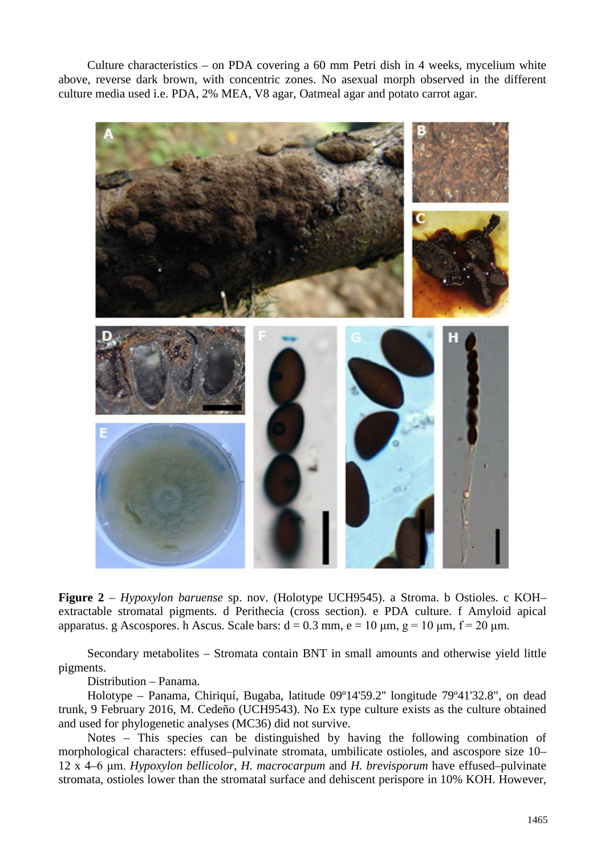Culture characteristics – on PDA covering a 60 mm Petri dish in 4 weeks, mycelium white above, reverse dark brown, with concentric zones. No asexual morph observed in the different culture media used i.e. PDA, 2% MEA, V8 agar, Oatmeal agar and potato carrot agar.



**Figure 2** – *Hypoxylon baruense* sp. nov. (Holotype UCH9545). a Stroma. b Ostioles. c KOH– extractable stromatal pigments. d Perithecia (cross section). e PDA culture. f Amyloid apical apparatus. g Ascospores. h Ascus. Scale bars:  $d = 0.3$  mm,  $e = 10$   $\mu$ m,  $g = 10$   $\mu$ m,  $f = 20$   $\mu$ m.

Secondary metabolites – Stromata contain BNT in small amounts and otherwise yield little pigments.

Distribution – Panama.

Holotype – Panama, Chiriquí, Bugaba, latitude 09º14'59.2'' longitude 79º41'32.8", on dead trunk, 9 February 2016, M. Cedeño (UCH9543). No Ex type culture exists as the culture obtained and used for phylogenetic analyses (MC36) did not survive.

Notes – This species can be distinguished by having the following combination of morphological characters: effused–pulvinate stromata, umbilicate ostioles, and ascospore size 10– 12 x 4–6 μm. *Hypoxylon bellicolor*, *H. macrocarpum* and *H. brevisporum* have effused–pulvinate stromata, ostioles lower than the stromatal surface and dehiscent perispore in 10% KOH. However,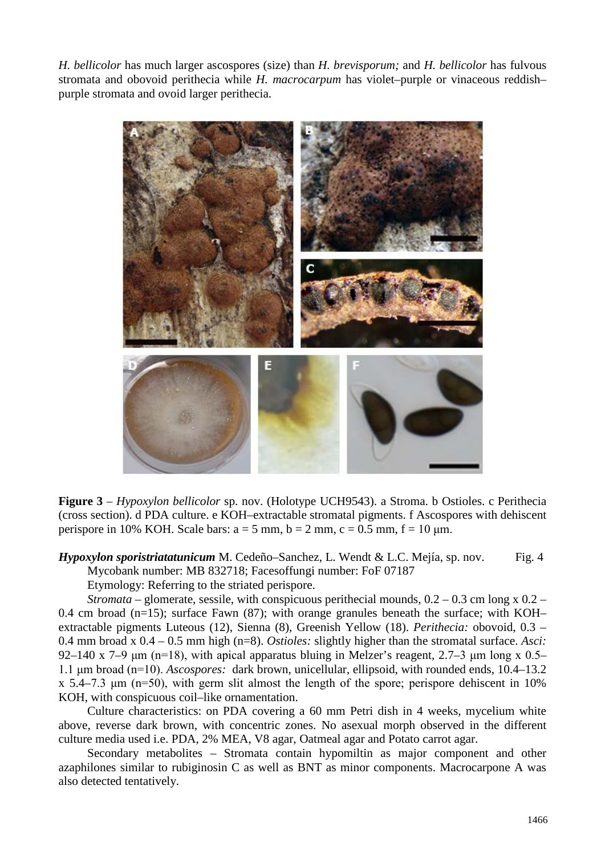*H. bellicolor* has much larger ascospores (size) than *H. brevisporum;* and *H. bellicolor* has fulvous stromata and obovoid perithecia while *H. macrocarpum* has violet–purple or vinaceous reddish– purple stromata and ovoid larger perithecia.



**Figure 3** – *Hypoxylon bellicolor* sp. nov. (Holotype UCH9543). a Stroma. b Ostioles. c Perithecia (cross section). d PDA culture. e KOH–extractable stromatal pigments. f Ascospores with dehiscent perispore in 10% KOH. Scale bars:  $a = 5$  mm,  $b = 2$  mm,  $c = 0.5$  mm,  $f = 10$  µm.

*Hypoxylon sporistriatatunicum* M. Cedeño–Sanchez, L. Wendt & L.C. Mejía, sp. nov. Fig. 4 Mycobank number: MB 832718; Facesoffungi number: FoF 07187

Etymology: Referring to the striated perispore.

*Stromata* – glomerate, sessile, with conspicuous perithecial mounds, 0.2 – 0.3 cm long x 0.2 – 0.4 cm broad  $(n=15)$ ; surface Fawn (87); with orange granules beneath the surface; with KOH– extractable pigments Luteous (12), Sienna (8), Greenish Yellow (18). *Perithecia:* obovoid, 0.3 – 0.4 mm broad x 0.4 – 0.5 mm high (n=8). *Ostioles:* slightly higher than the stromatal surface. *Asci:*  92–140 x 7–9  $\mu$ m (n=18), with apical apparatus bluing in Melzer's reagent, 2.7–3  $\mu$ m long x 0.5– 1.1 μm broad (n=10). *Ascospores:* dark brown, unicellular, ellipsoid, with rounded ends, 10.4–13.2  $x$  5.4–7.3  $\mu$ m (n=50), with germ slit almost the length of the spore; perispore dehiscent in 10% KOH, with conspicuous coil–like ornamentation.

Culture characteristics: on PDA covering a 60 mm Petri dish in 4 weeks, mycelium white above, reverse dark brown, with concentric zones. No asexual morph observed in the different culture media used i.e. PDA, 2% MEA, V8 agar, Oatmeal agar and Potato carrot agar.

Secondary metabolites – Stromata contain hypomiltin as major component and other azaphilones similar to rubiginosin C as well as BNT as minor components. Macrocarpone A was also detected tentatively.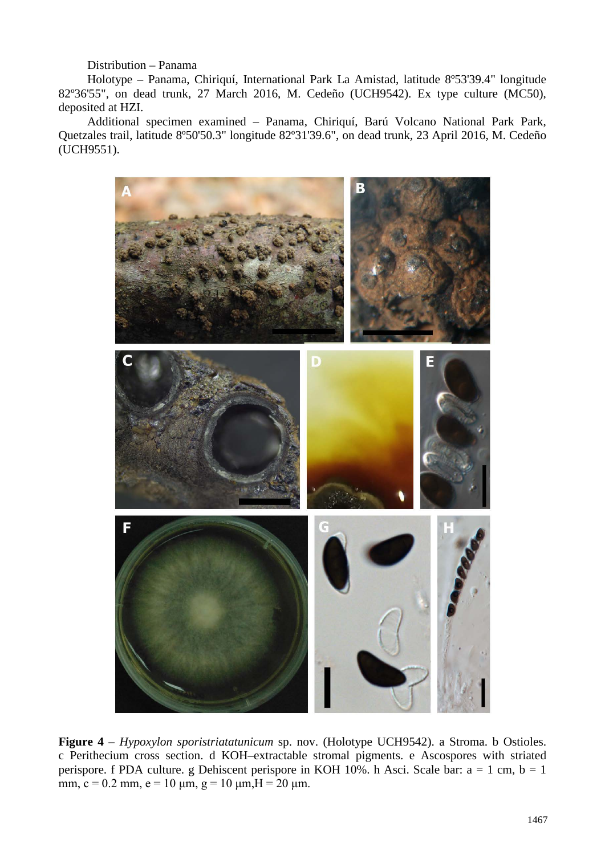# Distribution – Panama

Holotype – Panama, Chiriquí, International Park La Amistad, latitude 8º53'39.4" longitude 82º36'55", on dead trunk, 27 March 2016, M. Cedeño (UCH9542). Ex type culture (MC50), deposited at HZI.

Additional specimen examined – Panama, Chiriquí, Barú Volcano National Park Park, Quetzales trail, latitude 8º50'50.3" longitude 82º31'39.6", on dead trunk, 23 April 2016, M. Cedeño (UCH9551).



**Figure 4** – *Hypoxylon sporistriatatunicum* sp. nov. (Holotype UCH9542). a Stroma. b Ostioles. c Perithecium cross section. d KOH–extractable stromal pigments. e Ascospores with striated perispore. f PDA culture. g Dehiscent perispore in KOH 10%. h Asci. Scale bar:  $a = 1$  cm,  $b = 1$ mm,  $c = 0.2$  mm,  $e = 10$  μm,  $g = 10$  μm,  $H = 20$  μm.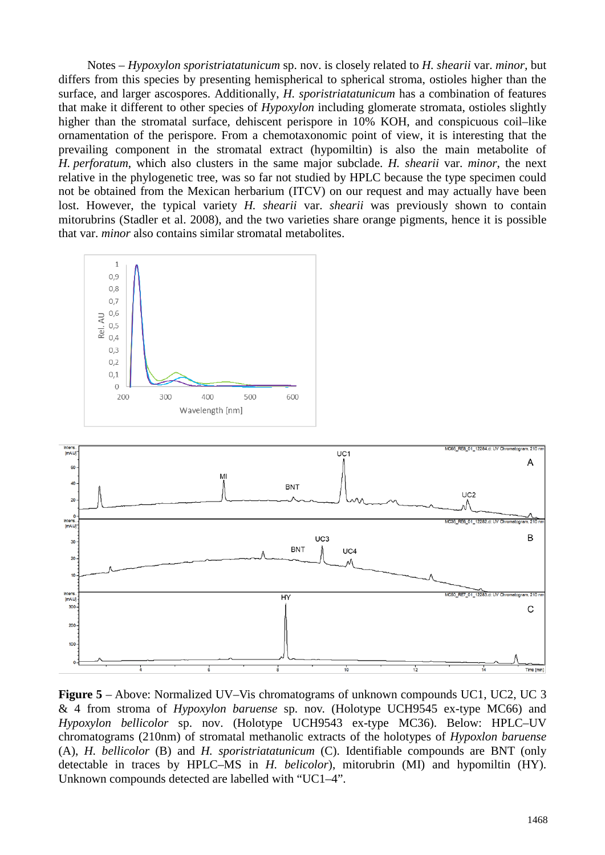Notes – *Hypoxylon sporistriatatunicum* sp. nov. is closely related to *H. shearii* var. *minor,* but differs from this species by presenting hemispherical to spherical stroma, ostioles higher than the surface, and larger ascospores. Additionally, *H. sporistriatatunicum* has a combination of features that make it different to other species of *Hypoxylon* including glomerate stromata, ostioles slightly higher than the stromatal surface, dehiscent perispore in 10% KOH, and conspicuous coil–like ornamentation of the perispore. From a chemotaxonomic point of view, it is interesting that the prevailing component in the stromatal extract (hypomiltin) is also the main metabolite of *H. perforatum*, which also clusters in the same major subclade. *H. shearii* var. *minor*, the next relative in the phylogenetic tree, was so far not studied by HPLC because the type specimen could not be obtained from the Mexican herbarium (ITCV) on our request and may actually have been lost. However, the typical variety *H. shearii* var. *shearii* was previously shown to contain mitorubrins (Stadler et al. 2008), and the two varieties share orange pigments, hence it is possible that var. *minor* also contains similar stromatal metabolites.





**Figure 5** – Above: Normalized UV–Vis chromatograms of unknown compounds UC1, UC2, UC 3 & 4 from stroma of *Hypoxylon baruense* sp. nov. (Holotype UCH9545 ex-type MC66) and *Hypoxylon bellicolor* sp. nov. (Holotype UCH9543 ex-type MC36). Below: HPLC–UV chromatograms (210nm) of stromatal methanolic extracts of the holotypes of *Hypoxlon baruense* (A), *H. bellicolor* (B) and *H. sporistriatatunicum* (C). Identifiable compounds are BNT (only detectable in traces by HPLC–MS in *H. belicolor*), mitorubrin (MI) and hypomiltin (HY). Unknown compounds detected are labelled with "UC1–4".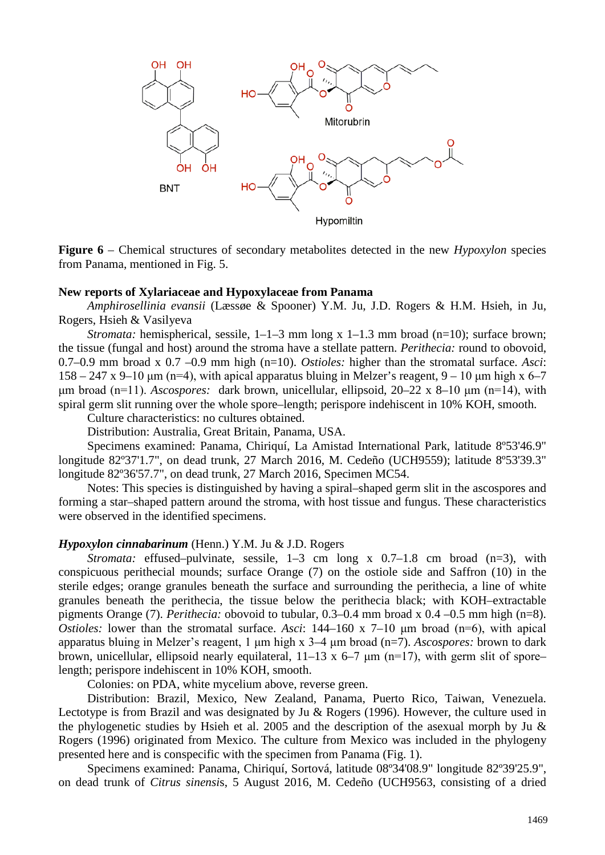

**Figure 6** – Chemical structures of secondary metabolites detected in the new *Hypoxylon* species from Panama, mentioned in Fig. 5.

### **New reports of Xylariaceae and Hypoxylaceae from Panama**

*Amphirosellinia evansii* (Læssøe & Spooner) Y.M. Ju, J.D. Rogers & H.M. Hsieh, in Ju, Rogers, Hsieh & Vasilyeva

*Stromata:* hemispherical, sessile, 1–1–3 mm long x 1–1.3 mm broad (n=10); surface brown; the tissue (fungal and host) around the stroma have a stellate pattern. *Perithecia:* round to obovoid, 0.7–0.9 mm broad x 0.7 –0.9 mm high (n=10). *Ostioles:* higher than the stromatal surface. *Asci*:  $158 - 247$  x 9–10 μm (n=4), with apical apparatus bluing in Melzer's reagent, 9 – 10 μm high x 6–7 μm broad (n=11). *Ascospores:* dark brown, unicellular, ellipsoid, 20–22 x 8–10 μm (n=14), with spiral germ slit running over the whole spore–length; perispore indehiscent in 10% KOH, smooth.

Culture characteristics: no cultures obtained.

Distribution: Australia, Great Britain, Panama, USA.

Specimens examined: Panama, Chiriquí, La Amistad International Park, latitude 8º53'46.9" longitude 82º37'1.7", on dead trunk, 27 March 2016, M. Cedeño (UCH9559); latitude 8º53'39.3" longitude 82º36'57.7", on dead trunk, 27 March 2016, Specimen MC54.

Notes: This species is distinguished by having a spiral–shaped germ slit in the ascospores and forming a star–shaped pattern around the stroma, with host tissue and fungus. These characteristics were observed in the identified specimens.

#### *Hypoxylon cinnabarinum* (Henn.) Y.M. Ju & J.D. Rogers

*Stromata:* effused–pulvinate, sessile, 1–3 cm long x 0.7–1.8 cm broad (n=3), with conspicuous perithecial mounds; surface Orange (7) on the ostiole side and Saffron (10) in the sterile edges; orange granules beneath the surface and surrounding the perithecia, a line of white granules beneath the perithecia, the tissue below the perithecia black; with KOH–extractable pigments Orange (7). *Perithecia:* obovoid to tubular, 0.3–0.4 mm broad x 0.4 –0.5 mm high (n=8). *Ostioles:* lower than the stromatal surface. *Asci*: 144–160 x 7–10 um broad (n=6), with apical apparatus bluing in Melzer's reagent, 1 μm high x 3–4 μm broad (n=7). *Ascospores:* brown to dark brown, unicellular, ellipsoid nearly equilateral,  $11-13 \times 6-7 \mu m$  (n=17), with germ slit of spore– length; perispore indehiscent in 10% KOH, smooth.

Colonies: on PDA, white mycelium above, reverse green.

Distribution: Brazil, Mexico, New Zealand, Panama, Puerto Rico, Taiwan, Venezuela. Lectotype is from Brazil and was designated by Ju & Rogers (1996). However, the culture used in the phylogenetic studies by Hsieh et al. 2005 and the description of the asexual morph by Ju & Rogers (1996) originated from Mexico. The culture from Mexico was included in the phylogeny presented here and is conspecific with the specimen from Panama (Fig. 1).

Specimens examined: Panama, Chiriquí, Sortová, latitude 08º34'08.9" longitude 82º39'25.9", on dead trunk of *Citrus sinensi*s, 5 August 2016, M. Cedeño (UCH9563, consisting of a dried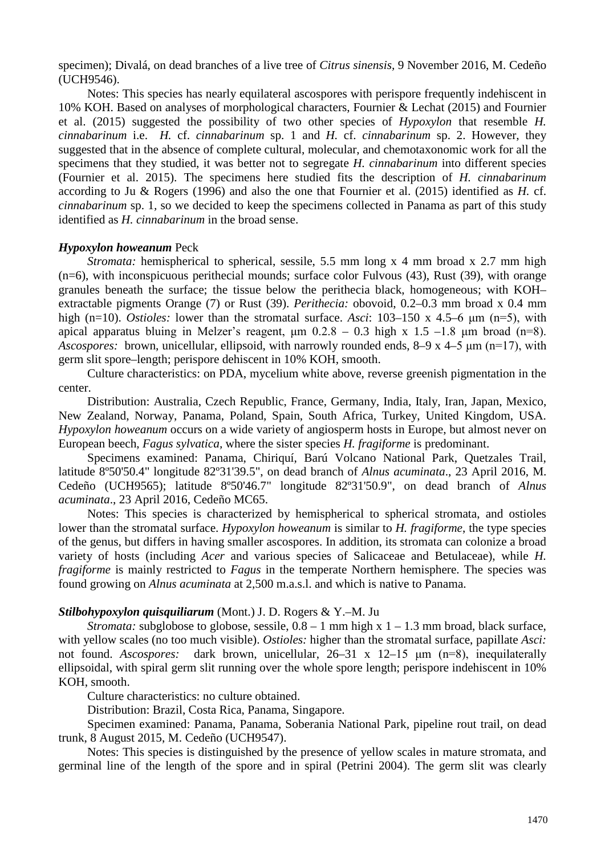specimen); Divalá, on dead branches of a live tree of *Citrus sinensis,* 9 November 2016, M. Cedeño (UCH9546).

Notes: This species has nearly equilateral ascospores with perispore frequently indehiscent in 10% KOH. Based on analyses of morphological characters, Fournier & Lechat (2015) and Fournier et al. (2015) suggested the possibility of two other species of *Hypoxylon* that resemble *H. cinnabarinum* i.e. *H.* cf. *cinnabarinum* sp. 1 and *H.* cf. *cinnabarinum* sp. 2. However, they suggested that in the absence of complete cultural, molecular, and chemotaxonomic work for all the specimens that they studied, it was better not to segregate *H. cinnabarinum* into different species (Fournier et al. 2015). The specimens here studied fits the description of *H. cinnabarinum* according to Ju & Rogers (1996) and also the one that Fournier et al. (2015) identified as *H.* cf. *cinnabarinum* sp. 1*,* so we decided to keep the specimens collected in Panama as part of this study identified as *H. cinnabarinum* in the broad sense.

### *Hypoxylon howeanum* Peck

*Stromata:* hemispherical to spherical, sessile, 5.5 mm long x 4 mm broad x 2.7 mm high (n=6), with inconspicuous perithecial mounds; surface color Fulvous (43), Rust (39), with orange granules beneath the surface; the tissue below the perithecia black, homogeneous; with KOH– extractable pigments Orange (7) or Rust (39). *Perithecia:* obovoid, 0.2–0.3 mm broad x 0.4 mm high (n=10). *Ostioles:* lower than the stromatal surface. *Asci*: 103–150 x 4.5–6 μm (n=5), with apical apparatus bluing in Melzer's reagent,  $\mu$ m 0.2.8 – 0.3 high x 1.5 –1.8  $\mu$ m broad (n=8). *Ascospores:* brown, unicellular, ellipsoid, with narrowly rounded ends, 8–9 x 4–5 μm (n=17), with germ slit spore–length; perispore dehiscent in 10% KOH, smooth.

Culture characteristics: on PDA, mycelium white above, reverse greenish pigmentation in the center.

Distribution: Australia, Czech Republic, France, Germany, India, Italy, Iran, Japan, Mexico, New Zealand, Norway, Panama, Poland, Spain, South Africa, Turkey, United Kingdom, USA. *Hypoxylon howeanum* occurs on a wide variety of angiosperm hosts in Europe, but almost never on European beech, *Fagus sylvatica,* where the sister species *H. fragiforme* is predominant.

Specimens examined: Panama, Chiriquí, Barú Volcano National Park, Quetzales Trail, latitude 8º50'50.4" longitude 82º31'39.5", on dead branch of *Alnus acuminata*., 23 April 2016, M. Cedeño (UCH9565); latitude 8º50'46.7" longitude 82º31'50.9", on dead branch of *Alnus acuminata*., 23 April 2016, Cedeño MC65.

Notes: This species is characterized by hemispherical to spherical stromata, and ostioles lower than the stromatal surface. *Hypoxylon howeanum* is similar to *H. fragiforme*, the type species of the genus, but differs in having smaller ascospores. In addition, its stromata can colonize a broad variety of hosts (including *Acer* and various species of Salicaceae and Betulaceae), while *H. fragiforme* is mainly restricted to *Fagus* in the temperate Northern hemisphere. The species was found growing on *Alnus acuminata* at 2,500 m.a.s.l. and which is native to Panama.

# *Stilbohypoxylon quisquiliarum* (Mont.) J. D. Rogers & Y.–M. Ju

*Stromata:* subglobose to globose, sessile,  $0.8 - 1$  mm high x  $1 - 1.3$  mm broad, black surface, with yellow scales (no too much visible). *Ostioles:* higher than the stromatal surface, papillate *Asci:* not found. *Ascospores:* dark brown, unicellular, 26–31 x 12–15 μm (n=8), inequilaterally ellipsoidal, with spiral germ slit running over the whole spore length; perispore indehiscent in 10% KOH, smooth.

Culture characteristics: no culture obtained.

Distribution: Brazil, Costa Rica, Panama, Singapore.

Specimen examined: Panama, Panama, Soberania National Park, pipeline rout trail, on dead trunk, 8 August 2015, M. Cedeño (UCH9547).

Notes: This species is distinguished by the presence of yellow scales in mature stromata, and germinal line of the length of the spore and in spiral (Petrini 2004). The germ slit was clearly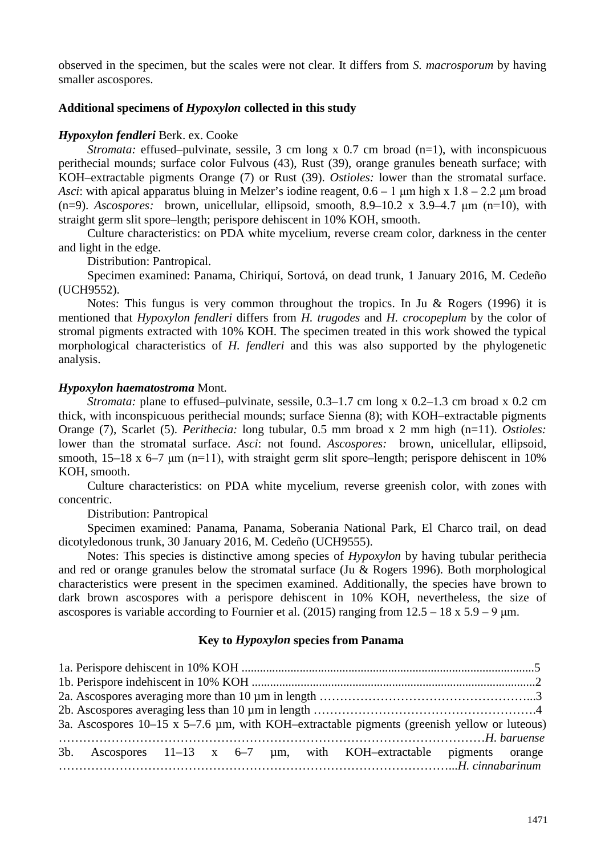observed in the specimen, but the scales were not clear. It differs from *S. macrosporum* by having smaller ascospores.

# **Additional specimens of** *Hypoxylon* **collected in this study**

### *Hypoxylon fendleri* Berk. ex. Cooke

*Stromata:* effused–pulvinate, sessile, 3 cm long x 0.7 cm broad (n=1), with inconspicuous perithecial mounds; surface color Fulvous (43), Rust (39), orange granules beneath surface; with KOH–extractable pigments Orange (7) or Rust (39). *Ostioles:* lower than the stromatal surface. *Asci*: with apical apparatus bluing in Melzer's iodine reagent, 0.6 – 1 μm high x 1.8 – 2.2 μm broad (n=9). *Ascospores:* brown, unicellular, ellipsoid, smooth, 8.9–10.2 x 3.9–4.7 μm (n=10), with straight germ slit spore–length; perispore dehiscent in 10% KOH, smooth.

Culture characteristics: on PDA white mycelium, reverse cream color, darkness in the center and light in the edge.

Distribution: Pantropical.

Specimen examined: Panama, Chiriquí, Sortová, on dead trunk, 1 January 2016, M. Cedeño (UCH9552).

Notes: This fungus is very common throughout the tropics. In Ju & Rogers (1996) it is mentioned that *Hypoxylon fendleri* differs from *H. trugodes* and *H. crocopeplum* by the color of stromal pigments extracted with 10% KOH. The specimen treated in this work showed the typical morphological characteristics of *H. fendleri* and this was also supported by the phylogenetic analysis.

### *Hypoxylon haematostroma* Mont.

*Stromata:* plane to effused–pulvinate, sessile, 0.3–1.7 cm long x 0.2–1.3 cm broad x 0.2 cm thick, with inconspicuous perithecial mounds; surface Sienna (8); with KOH–extractable pigments Orange (7), Scarlet (5). *Perithecia:* long tubular, 0.5 mm broad x 2 mm high (n=11). *Ostioles:* lower than the stromatal surface. *Asci*: not found. *Ascospores:* brown, unicellular, ellipsoid, smooth,  $15-18 \times 6-7 \mu m$  (n=11), with straight germ slit spore–length; perispore dehiscent in 10% KOH, smooth.

Culture characteristics: on PDA white mycelium, reverse greenish color, with zones with concentric.

Distribution: Pantropical

Specimen examined: Panama, Panama, Soberania National Park, El Charco trail, on dead dicotyledonous trunk, 30 January 2016, M. Cedeño (UCH9555).

Notes: This species is distinctive among species of *Hypoxylon* by having tubular perithecia and red or orange granules below the stromatal surface (Ju & Rogers 1996). Both morphological characteristics were present in the specimen examined. Additionally, the species have brown to dark brown ascospores with a perispore dehiscent in 10% KOH, nevertheless, the size of ascospores is variable according to Fournier et al. (2015) ranging from  $12.5 - 18 \times 5.9 - 9 \mu m$ .

# **Key to** *Hypoxylon* **species from Panama**

| 3a. Ascospores $10-15$ x $5-7.6$ µm, with KOH-extractable pigments (greenish yellow or luteous) |  |  |  |  |  |  |                                                                              |  |  |
|-------------------------------------------------------------------------------------------------|--|--|--|--|--|--|------------------------------------------------------------------------------|--|--|
|                                                                                                 |  |  |  |  |  |  |                                                                              |  |  |
|                                                                                                 |  |  |  |  |  |  | 3b. Ascospores $11-13$ x $6-7$ $\mu$ m, with KOH-extractable pigments orange |  |  |
|                                                                                                 |  |  |  |  |  |  |                                                                              |  |  |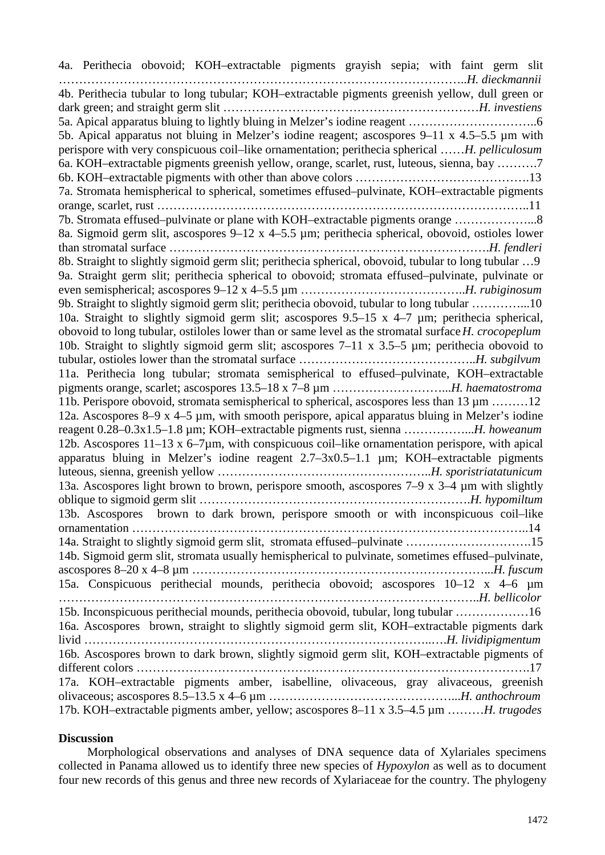4a. Perithecia obovoid; KOH–extractable pigments grayish sepia; with faint germ slit ………………………………………………………………………………………..*H. dieckmannii* 4b. Perithecia tubular to long tubular; KOH–extractable pigments greenish yellow, dull green or dark green; and straight germ slit ………………………………………………………*H. investiens* 5a. Apical apparatus bluing to lightly bluing in Melzer's iodine reagent …………………………..6 5b. Apical apparatus not bluing in Melzer's iodine reagent; ascospores 9–11 x 4.5–5.5 µm with perispore with very conspicuous coil–like ornamentation; perithecia spherical ……*H. pelliculosum* 6a. KOH–extractable pigments greenish yellow, orange, scarlet, rust, luteous, sienna, bay ……….7 6b. KOH–extractable pigments with other than above colors …………………………………….13 7a. Stromata hemispherical to spherical, sometimes effused–pulvinate, KOH–extractable pigments orange, scarlet, rust ………………………………………………………………………………..11 7b. Stromata effused–pulvinate or plane with KOH–extractable pigments orange ………………...8 8a. Sigmoid germ slit, ascospores 9–12 x 4–5.5 µm; perithecia spherical, obovoid, ostioles lower than stromatal surface …………………………………………………………………….*H. fendleri* 8b. Straight to slightly sigmoid germ slit; perithecia spherical, obovoid, tubular to long tubular …9 9a. Straight germ slit; perithecia spherical to obovoid; stromata effused–pulvinate, pulvinate or even semispherical; ascospores 9–12 x 4–5.5 µm …………………………………..*H. rubiginosum* 9b. Straight to slightly sigmoid germ slit; perithecia obovoid, tubular to long tubular …………...10 10a. Straight to slightly sigmoid germ slit; ascospores 9.5–15 x 4–7 µm; perithecia spherical, obovoid to long tubular, ostiloles lower than or same level as the stromatal surface*H. crocopeplum* 10b. Straight to slightly sigmoid germ slit; ascospores 7–11 x 3.5–5 µm; perithecia obovoid to tubular, ostioles lower than the stromatal surface ……………………………………..*H. subgilvum* 11a. Perithecia long tubular; stromata semispherical to effused–pulvinate, KOH–extractable pigments orange, scarlet; ascospores 13.5–18 x 7–8 µm ………………………...*H. haematostroma* 11b. Perispore obovoid, stromata semispherical to spherical, ascospores less than 13 µm ………12 12a. Ascospores 8–9 x 4–5 µm, with smooth perispore, apical apparatus bluing in Melzer's iodine reagent 0.28–0.3x1.5–1.8 µm; KOH–extractable pigments rust, sienna ……………...*H. howeanum* 12b. Ascospores 11–13 x 6–7µm, with conspicuous coil–like ornamentation perispore, with apical apparatus bluing in Melzer's iodine reagent 2.7–3x0.5–1.1 µm; KOH–extractable pigments luteous, sienna, greenish yellow ……………………………………………..*H. sporistriatatunicum* 13a. Ascospores light brown to brown, perispore smooth, ascospores 7–9 x 3–4 µm with slightly oblique to sigmoid germ slit ………………………………………………………….*H. hypomiltum* 13b. Ascospores brown to dark brown, perispore smooth or with inconspicuous coil–like ornamentation ……………………………………………………………………………………..14 14a. Straight to slightly sigmoid germ slit, stromata effused–pulvinate ………………………….15 14b. Sigmoid germ slit, stromata usually hemispherical to pulvinate, sometimes effused–pulvinate, ascospores 8–20 x 4–8 µm ………………………………………………………………...*H. fuscum* 15a. Conspicuous perithecial mounds, perithecia obovoid; ascospores 10–12 x 4–6 µm …………………………………………………………………………………………..*H. bellicolor* 15b. Inconspicuous perithecial mounds, perithecia obovoid, tubular, long tubular ………………16 16a. Ascospores brown, straight to slightly sigmoid germ slit, KOH–extractable pigments dark livid …………………………………………………………………………..….*H. lividipigmentum* 16b. Ascospores brown to dark brown, slightly sigmoid germ slit, KOH–extractable pigments of different colors …………………………………………………………………………………….17 17a. KOH–extractable pigments amber, isabelline, olivaceous, gray alivaceous, greenish olivaceous; ascospores 8.5–13.5 x 4–6 µm ………………………………………...*H. anthochroum* 17b. KOH–extractable pigments amber, yellow; ascospores 8–11 x 3.5–4.5 µm ………*H. trugodes*

# **Discussion**

Morphological observations and analyses of DNA sequence data of Xylariales specimens collected in Panama allowed us to identify three new species of *Hypoxylon* as well as to document four new records of this genus and three new records of Xylariaceae for the country. The phylogeny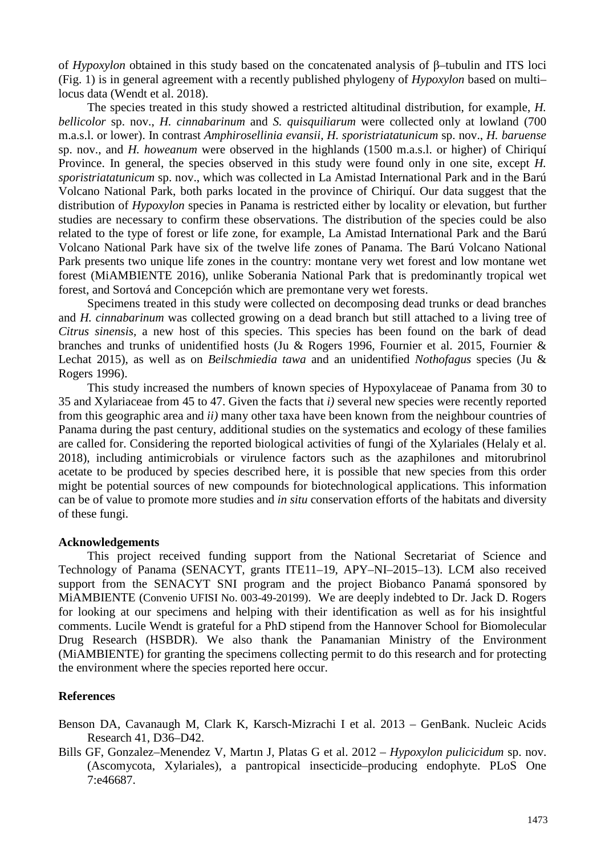of *Hypoxylon* obtained in this study based on the concatenated analysis of β–tubulin and ITS loci (Fig. 1) is in general agreement with a recently published phylogeny of *Hypoxylon* based on multi– locus data (Wendt et al. 2018).

The species treated in this study showed a restricted altitudinal distribution, for example, *H. bellicolor* sp. nov., *H. cinnabarinum* and *S. quisquiliarum* were collected only at lowland (700 m.a.s.l. or lower). In contrast *Amphirosellinia evansii, H. sporistriatatunicum* sp. nov., *H. baruense* sp. nov.*,* and *H. howeanum* were observed in the highlands (1500 m.a.s.l. or higher) of Chiriquí Province. In general, the species observed in this study were found only in one site, except *H*. *sporistriatatunicum* sp. nov., which was collected in La Amistad International Park and in the Barú Volcano National Park, both parks located in the province of Chiriquí. Our data suggest that the distribution of *Hypoxylon* species in Panama is restricted either by locality or elevation, but further studies are necessary to confirm these observations. The distribution of the species could be also related to the type of forest or life zone, for example, La Amistad International Park and the Barú Volcano National Park have six of the twelve life zones of Panama. The Barú Volcano National Park presents two unique life zones in the country: montane very wet forest and low montane wet forest (MiAMBIENTE 2016), unlike Soberania National Park that is predominantly tropical wet forest, and Sortová and Concepción which are premontane very wet forests.

Specimens treated in this study were collected on decomposing dead trunks or dead branches and *H. cinnabarinum* was collected growing on a dead branch but still attached to a living tree of *Citrus sinensis,* a new host of this species. This species has been found on the bark of dead branches and trunks of unidentified hosts (Ju & Rogers 1996, Fournier et al. 2015, Fournier & Lechat 2015), as well as on *Beilschmiedia tawa* and an unidentified *Nothofagus* species (Ju & Rogers 1996).

This study increased the numbers of known species of Hypoxylaceae of Panama from 30 to 35 and Xylariaceae from 45 to 47. Given the facts that *i)* several new species were recently reported from this geographic area and *ii)* many other taxa have been known from the neighbour countries of Panama during the past century, additional studies on the systematics and ecology of these families are called for. Considering the reported biological activities of fungi of the Xylariales (Helaly et al. 2018), including antimicrobials or virulence factors such as the azaphilones and mitorubrinol acetate to be produced by species described here, it is possible that new species from this order might be potential sources of new compounds for biotechnological applications. This information can be of value to promote more studies and *in situ* conservation efforts of the habitats and diversity of these fungi.

## **Acknowledgements**

This project received funding support from the National Secretariat of Science and Technology of Panama (SENACYT, grants ITE11–19, APY–NI–2015–13). LCM also received support from the SENACYT SNI program and the project Biobanco Panamá sponsored by MiAMBIENTE (Convenio UFISI No. 003-49-20199). We are deeply indebted to Dr. Jack D. Rogers for looking at our specimens and helping with their identification as well as for his insightful comments. Lucile Wendt is grateful for a PhD stipend from the Hannover School for Biomolecular Drug Research (HSBDR). We also thank the Panamanian Ministry of the Environment (MiAMBIENTE) for granting the specimens collecting permit to do this research and for protecting the environment where the species reported here occur.

## **References**

Benson DA, Cavanaugh M, Clark K, Karsch-Mizrachi I et al. 2013 – GenBank. Nucleic Acids Research 41, D36–D42.

Bills GF, Gonzalez–Menendez V, Martın J, Platas G et al. 2012 – *Hypoxylon pulicicidum* sp. nov. (Ascomycota, Xylariales), a pantropical insecticide–producing endophyte. PLoS One 7:e46687.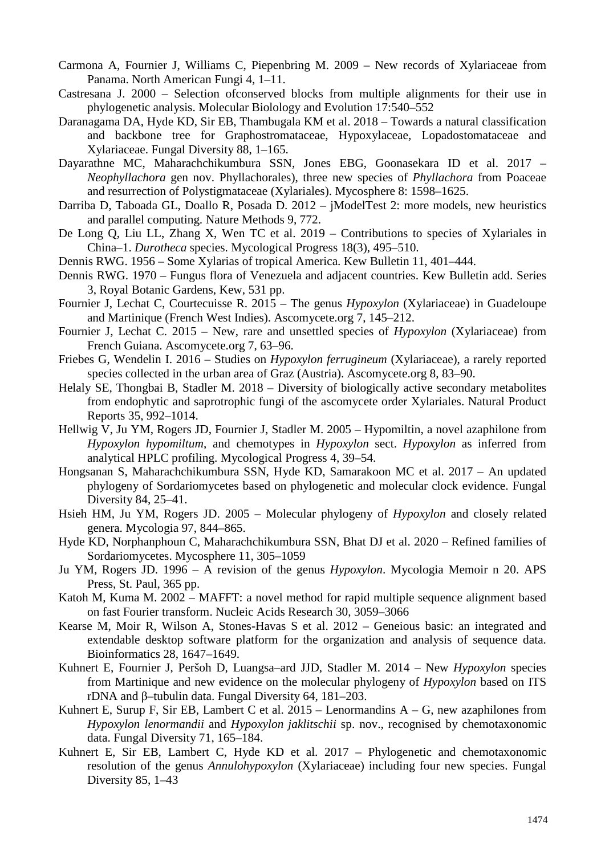- Carmona A, Fournier J, Williams C, Piepenbring M. 2009 New records of Xylariaceae from Panama. North American Fungi 4, 1–11.
- Castresana J. 2000 Selection ofconserved blocks from multiple alignments for their use in phylogenetic analysis. Molecular Biolology and Evolution 17:540–552
- Daranagama DA, Hyde KD, Sir EB, Thambugala KM et al. 2018 Towards a natural classification and backbone tree for Graphostromataceae, Hypoxylaceae, Lopadostomataceae and Xylariaceae. Fungal Diversity 88, 1–165.
- Dayarathne MC, Maharachchikumbura SSN, Jones EBG, Goonasekara ID et al. 2017 *Neophyllachora* gen nov. Phyllachorales), three new species of *Phyllachora* from Poaceae and resurrection of Polystigmataceae (Xylariales). Mycosphere 8: 1598–1625.
- Darriba D, Taboada GL, Doallo R, Posada D. 2012 jModelTest 2: more models, new heuristics and parallel computing. Nature Methods 9, 772.
- De Long Q, Liu LL, Zhang X, Wen TC et al. 2019 Contributions to species of Xylariales in China–1. *Durotheca* species. Mycological Progress 18(3), 495–510.
- Dennis RWG. 1956 Some Xylarias of tropical America. Kew Bulletin 11, 401–444.
- Dennis RWG. 1970 Fungus flora of Venezuela and adjacent countries. Kew Bulletin add. Series 3, Royal Botanic Gardens, Kew, 531 pp.
- Fournier J, Lechat C, Courtecuisse R. 2015 The genus *Hypoxylon* (Xylariaceae) in Guadeloupe and Martinique (French West Indies). Ascomycete.org 7, 145–212.
- Fournier J, Lechat C. 2015 New, rare and unsettled species of *Hypoxylon* (Xylariaceae) from French Guiana. Ascomycete.org 7, 63–96.
- Friebes G, Wendelin I. 2016 Studies on *Hypoxylon ferrugineum* (Xylariaceae), a rarely reported species collected in the urban area of Graz (Austria). Ascomycete.org 8, 83–90.
- Helaly SE, Thongbai B, Stadler M. 2018 Diversity of biologically active secondary metabolites from endophytic and saprotrophic fungi of the ascomycete order Xylariales. Natural Product Reports 35, 992–1014.
- Hellwig V, Ju YM, Rogers JD, Fournier J, Stadler M. 2005 Hypomiltin, a novel azaphilone from *Hypoxylon hypomiltum*, and chemotypes in *Hypoxylon* sect. *Hypoxylon* as inferred from analytical HPLC profiling. Mycological Progress 4, 39–54.
- Hongsanan S, Maharachchikumbura SSN, Hyde KD, Samarakoon MC et al. 2017 An updated phylogeny of Sordariomycetes based on phylogenetic and molecular clock evidence. Fungal Diversity 84, 25–41.
- Hsieh HM, Ju YM, Rogers JD. 2005 Molecular phylogeny of *Hypoxylon* and closely related genera. Mycologia 97, 844–865.
- Hyde KD, Norphanphoun C, Maharachchikumbura SSN, Bhat DJ et al. 2020 Refined families of Sordariomycetes. Mycosphere 11, 305–1059
- Ju YM, Rogers JD. 1996 A revision of the genus *Hypoxylon*. Mycologia Memoir n 20. APS Press, St. Paul, 365 pp.
- Katoh M, Kuma M. 2002 MAFFT: a novel method for rapid multiple sequence alignment based on fast Fourier transform. Nucleic Acids Research 30, 3059–3066
- Kearse M, Moir R, Wilson A, Stones-Havas S et al. 2012 Geneious basic: an integrated and extendable desktop software platform for the organization and analysis of sequence data. Bioinformatics 28, 1647–1649.
- Kuhnert E, Fournier J, Peršoh D, Luangsa–ard JJD, Stadler M. 2014 New *Hypoxylon* species from Martinique and new evidence on the molecular phylogeny of *Hypoxylon* based on ITS rDNA and β–tubulin data. Fungal Diversity 64, 181–203.
- Kuhnert E, Surup F, Sir EB, Lambert C et al.  $2015$  Lenormandins A G, new azaphilones from *Hypoxylon lenormandii* and *Hypoxylon jaklitschii* sp. nov., recognised by chemotaxonomic data. Fungal Diversity 71, 165–184.
- Kuhnert E, Sir EB, Lambert C, Hyde KD et al. 2017 Phylogenetic and chemotaxonomic resolution of the genus *Annulohypoxylon* (Xylariaceae) including four new species. Fungal Diversity 85, 1–43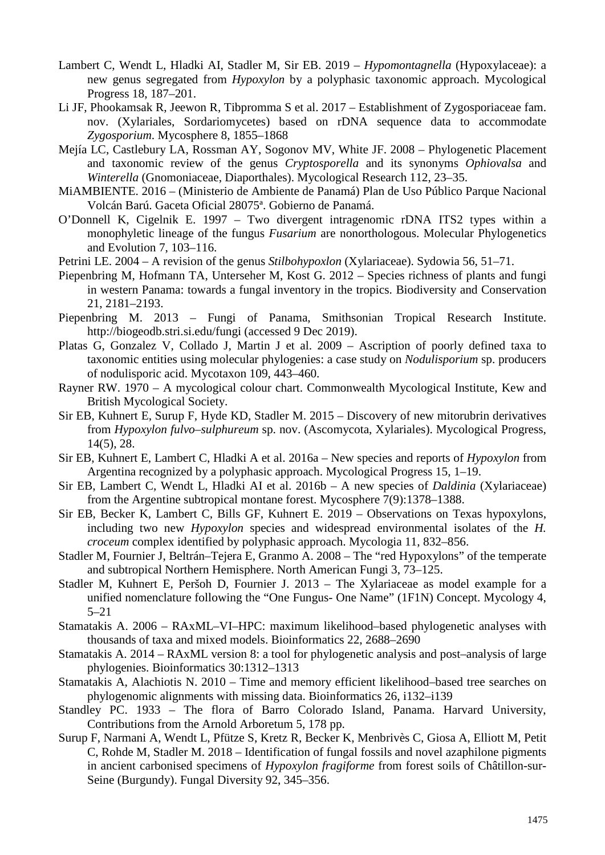- Lambert C, Wendt L, Hladki AI, Stadler M, Sir EB. 2019 *Hypomontagnella* (Hypoxylaceae): a new genus segregated from *Hypoxylon* by a polyphasic taxonomic approach. Mycological Progress 18, 187–201.
- Li JF, Phookamsak R, Jeewon R, Tibpromma S et al. 2017 Establishment of Zygosporiaceae fam. nov. (Xylariales, Sordariomycetes) based on rDNA sequence data to accommodate *Zygosporium*. Mycosphere 8, 1855–1868
- Mejía LC, Castlebury LA, Rossman AY, Sogonov MV, White JF. 2008 Phylogenetic Placement and taxonomic review of the genus *Cryptosporella* and its synonyms *Ophiovalsa* and *Winterella* (Gnomoniaceae, Diaporthales). Mycological Research 112, 23–35.
- MiAMBIENTE. 2016 (Ministerio de Ambiente de Panamá) Plan de Uso Público Parque Nacional Volcán Barú. Gaceta Oficial 28075ª. Gobierno de Panamá.
- O'Donnell K, Cigelnik E. 1997 Two divergent intragenomic rDNA ITS2 types within a monophyletic lineage of the fungus *Fusarium* are nonorthologous. Molecular Phylogenetics and Evolution 7, 103–116.
- Petrini LE. 2004 A revision of the genus *Stilbohypoxlon* (Xylariaceae). Sydowia 56, 51–71.
- Piepenbring M, Hofmann TA, Unterseher M, Kost G. 2012 Species richness of plants and fungi in western Panama: towards a fungal inventory in the tropics. Biodiversity and Conservation 21, 2181–2193.
- Piepenbring M. 2013 Fungi of Panama, Smithsonian Tropical Research Institute. http://biogeodb.stri.si.edu/fungi (accessed 9 Dec 2019).
- Platas G, Gonzalez V, Collado J, Martin J et al. 2009 Ascription of poorly defined taxa to taxonomic entities using molecular phylogenies: a case study on *Nodulisporium* sp. producers of nodulisporic acid. Mycotaxon 109, 443–460.
- Rayner RW. 1970 A mycological colour chart. Commonwealth Mycological Institute, Kew and British Mycological Society.
- Sir EB, Kuhnert E, Surup F, Hyde KD, Stadler M. 2015 Discovery of new mitorubrin derivatives from *Hypoxylon fulvo–sulphureum* sp. nov. (Ascomycota, Xylariales). Mycological Progress, 14(5), 28.
- Sir EB, Kuhnert E, Lambert C, Hladki A et al. 2016a New species and reports of *Hypoxylon* from Argentina recognized by a polyphasic approach. Mycological Progress 15, 1–19.
- Sir EB, Lambert C, Wendt L, Hladki AI et al. 2016b A new species of *Daldinia* (Xylariaceae) from the Argentine subtropical montane forest. Mycosphere 7(9):1378–1388.
- Sir EB, Becker K, Lambert C, Bills GF, Kuhnert E. 2019 Observations on Texas hypoxylons, including two new *Hypoxylon* species and widespread environmental isolates of the *H. croceum* complex identified by polyphasic approach. Mycologia 11, 832–856.
- Stadler M, Fournier J, Beltrán–Tejera E, Granmo A. 2008 The "red Hypoxylons" of the temperate and subtropical Northern Hemisphere. North American Fungi 3, 73–125.
- Stadler M, Kuhnert E, Peršoh D, Fournier J. 2013 The Xylariaceae as model example for a unified nomenclature following the "One Fungus- One Name" (1F1N) Concept. Mycology 4, 5–21
- Stamatakis A. 2006 RAxML–VI–HPC: maximum likelihood–based phylogenetic analyses with thousands of taxa and mixed models. Bioinformatics 22, 2688–2690
- Stamatakis A. 2014 RAxML version 8: a tool for phylogenetic analysis and post–analysis of large phylogenies. Bioinformatics 30:1312–1313
- Stamatakis A, Alachiotis N. 2010 Time and memory efficient likelihood–based tree searches on phylogenomic alignments with missing data. Bioinformatics 26, i132–i139
- Standley PC. 1933 The flora of Barro Colorado Island, Panama. Harvard University, Contributions from the Arnold Arboretum 5, 178 pp.
- Surup F, Narmani A, Wendt L, Pfütze S, Kretz R, Becker K, Menbrivès C, Giosa A, Elliott M, Petit C, Rohde M, Stadler M. 2018 – Identification of fungal fossils and novel azaphilone pigments in ancient carbonised specimens of *Hypoxylon fragiforme* from forest soils of Châtillon-sur-Seine (Burgundy). Fungal Diversity 92, 345–356.